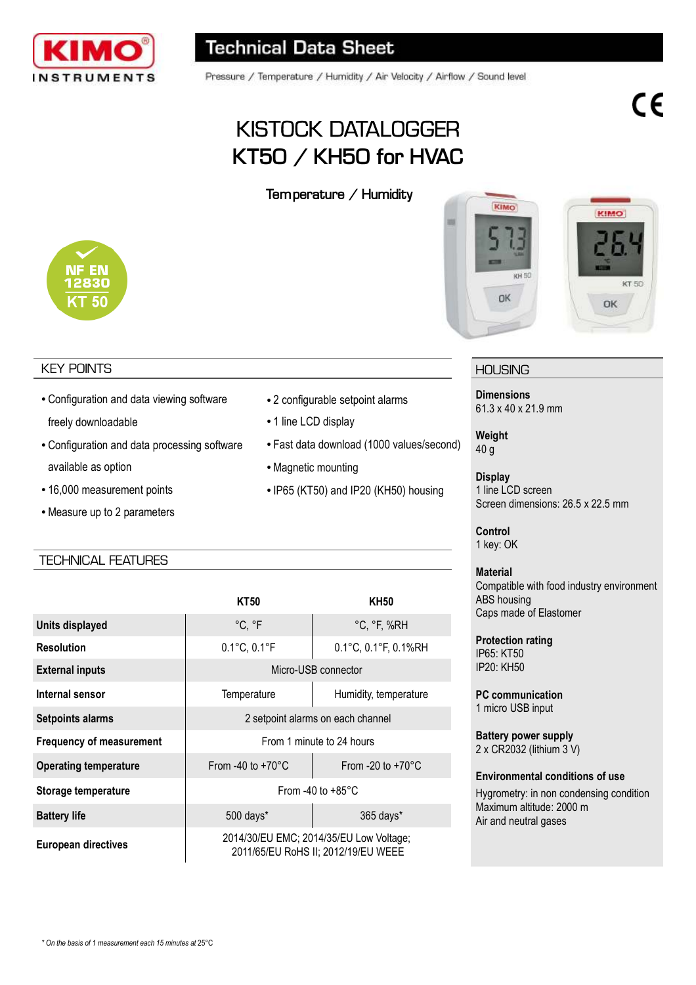

Pressure / Temperature / Humidity / Air Velocity / Airflow / Sound level

# KISTOCK DATALOGGER **KT50 / KH50 for HVAC**

**Temperature / Humidity** 



#### KEY POINTS

- Configuration and data viewing software freely downloadable
- Configuration and data processing software available as option
- 16,000 measurement points
- Measure up to 2 parameters

#### TECHNICAL FEATURES

|                                 | <b>KT50</b>                                                                    | <b>KH50</b>                 |
|---------------------------------|--------------------------------------------------------------------------------|-----------------------------|
| Units displayed                 | °C, °F                                                                         | $°C, \degree F, \%RH$       |
| <b>Resolution</b>               | 0.1°C, 0.1°F                                                                   | 0.1°C, 0.1°F, 0.1%RH        |
| <b>External inputs</b>          | Micro-USB connector                                                            |                             |
| Internal sensor                 | Temperature                                                                    | Humidity, temperature       |
| <b>Setpoints alarms</b>         | 2 setpoint alarms on each channel                                              |                             |
| <b>Frequency of measurement</b> | From 1 minute to 24 hours                                                      |                             |
| <b>Operating temperature</b>    | From -40 to $+70^{\circ}$ C                                                    | From -20 to $+70^{\circ}$ C |
| Storage temperature             | From -40 to $+85^{\circ}$ C                                                    |                             |
| <b>Battery life</b>             | 500 days*                                                                      | 365 days*                   |
| <b>European directives</b>      | 2014/30/EU EMC; 2014/35/EU Low Voltage;<br>2011/65/EU RoHS II; 2012/19/EU WEEE |                             |



- 1 line LCD display
- Fast data download (1000 values/second)
- Magnetic mounting
- IP65 (KT50) and IP20 (KH50) housing





#### **HOUSING**

**Dimensions** 61.3 x 40 x 21.9 mm

**Weight** 40 g

**Display** 1 line LCD screen Screen dimensions: 26.5 x 22.5 mm

**Control** 1 key: OK

#### **Material**

Compatible with food industry environment ABS housing Caps made of Elastomer

**Protection rating** IP65: KT50 IP20: KH50

**PC communication** 1 micro USB input

**Battery power supply** 2 x CR2032 (lithium 3 V)

#### **Environmental conditions of use**

Hygrometry: in non condensing condition Maximum altitude: 2000 m Air and neutral gases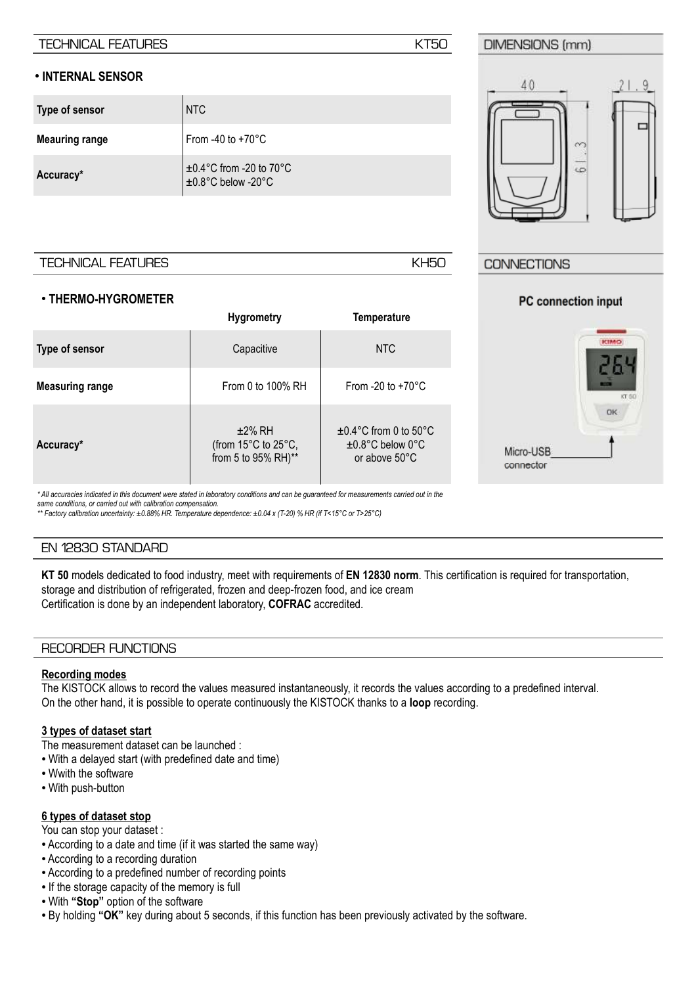#### TECHNICAL FEATURES **KT50**

#### ● **INTERNAL SENSOR**

| Type of sensor        | NTC                                                 |
|-----------------------|-----------------------------------------------------|
| <b>Meauring range</b> | From -40 to $+70^{\circ}$ C                         |
| Accuracy*             | $\pm 0.4$ °C from -20 to 70°C<br>±0.8°C below -20°C |

#### TECHNICAL FEATURES **KH50**

#### ● **THERMO-HYGROMETER**

|                        | <b>Hygrometry</b>                                       | <b>Temperature</b>                                                     |
|------------------------|---------------------------------------------------------|------------------------------------------------------------------------|
| Type of sensor         | Capacitive                                              | NTC                                                                    |
| <b>Measuring range</b> | From 0 to $100\%$ RH                                    | From -20 to $+70^{\circ}$ C                                            |
| Accuracy*              | $±2\%$ RH<br>(from 15°C to 25°C,<br>from 5 to 95% RH)** | $\pm 0.4$ °C from 0 to 50°C<br>$\pm 0.8$ °C below 0°C<br>or above 50°C |

#### **CONNECTIONS**

# KIMO OK Micro-USB connector

PC connection input

*\* All accuracies indicated in this document were stated in laboratory conditions and can be guaranteed for measurements carried out in the same conditions, or carried out with calibration compensation.*

*\*\* Factory calibration uncertainty: ±0.88% HR. Temperature dependence: ±0.04 x (T-20) % HR (if T<15°C or T>25°C)*

#### EN 12830 STANDARD

**KT 50** models dedicated to food industry, meet with requirements of **EN 12830 norm**. This certification is required for transportation, storage and distribution of refrigerated, frozen and deep-frozen food, and ice cream Certification is done by an independent laboratory, **COFRAC** accredited.

#### RECORDER FUNCTIONS

#### **Recording modes**

The KISTOCK allows to record the values measured instantaneously, it records the values according to a predefined interval. On the other hand, it is possible to operate continuously the KISTOCK thanks to a **loop** recording.

#### **3 types of dataset start**

The measurement dataset can be launched :

- With a delayed start (with predefined date and time)
- Wwith the software
- With push-button

#### **6 types of dataset stop**

You can stop your dataset :

- According to a date and time (if it was started the same way)
- According to a recording duration
- According to a predefined number of recording points
- If the storage capacity of the memory is full
- With **"Stop"** option of the software
- By holding **"OK"** key during about 5 seconds, if this function has been previously activated by the software.